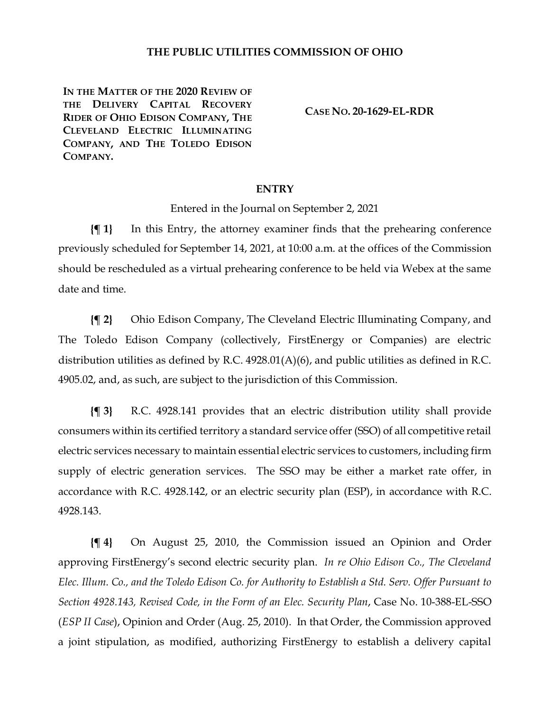## **THE PUBLIC UTILITIES COMMISSION OF OHIO**

**IN THE MATTER OF THE 2020 REVIEW OF THE DELIVERY CAPITAL RECOVERY RIDER OF OHIO EDISON COMPANY, THE CLEVELAND ELECTRIC ILLUMINATING COMPANY, AND THE TOLEDO EDISON COMPANY.**

**CASE NO. 20-1629-EL-RDR**

## **ENTRY**

Entered in the Journal on September 2, 2021

**{¶ 1}** In this Entry, the attorney examiner finds that the prehearing conference previously scheduled for September 14, 2021, at 10:00 a.m. at the offices of the Commission should be rescheduled as a virtual prehearing conference to be held via Webex at the same date and time.

**{¶ 2}** Ohio Edison Company, The Cleveland Electric Illuminating Company, and The Toledo Edison Company (collectively, FirstEnergy or Companies) are electric distribution utilities as defined by R.C. 4928.01(A)(6), and public utilities as defined in R.C. 4905.02, and, as such, are subject to the jurisdiction of this Commission.

**{¶ 3}** R.C. 4928.141 provides that an electric distribution utility shall provide consumers within its certified territory a standard service offer (SSO) of all competitive retail electric services necessary to maintain essential electric services to customers, including firm supply of electric generation services. The SSO may be either a market rate offer, in accordance with R.C. 4928.142, or an electric security plan (ESP), in accordance with R.C. 4928.143.

**{¶ 4}** On August 25, 2010, the Commission issued an Opinion and Order approving FirstEnergy's second electric security plan. *In re Ohio Edison Co., The Cleveland Elec. Illum. Co., and the Toledo Edison Co. for Authority to Establish a Std. Serv. Offer Pursuant to Section 4928.143, Revised Code, in the Form of an Elec. Security Plan*, Case No. 10-388-EL-SSO (*ESP II Case*), Opinion and Order (Aug. 25, 2010). In that Order, the Commission approved a joint stipulation, as modified, authorizing FirstEnergy to establish a delivery capital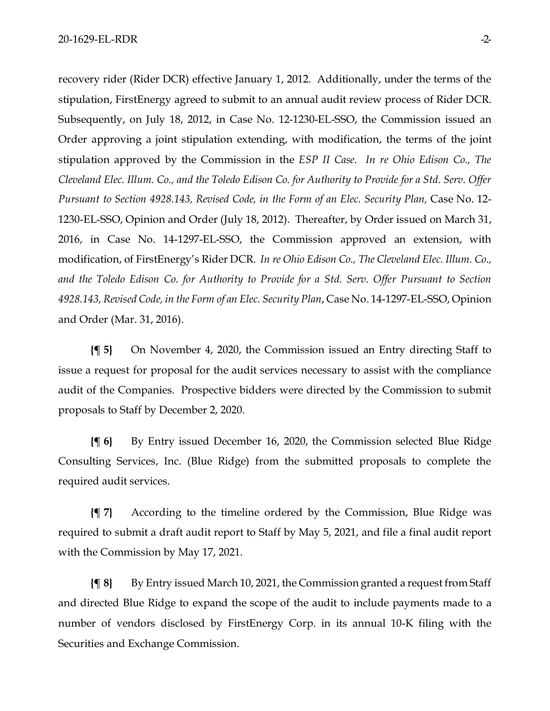recovery rider (Rider DCR) effective January 1, 2012. Additionally, under the terms of the stipulation, FirstEnergy agreed to submit to an annual audit review process of Rider DCR. Subsequently, on July 18, 2012, in Case No. 12-1230-EL-SSO, the Commission issued an Order approving a joint stipulation extending, with modification, the terms of the joint stipulation approved by the Commission in the *ESP II Case*. *In re Ohio Edison Co., The Cleveland Elec. Illum. Co., and the Toledo Edison Co. for Authority to Provide for a Std. Serv. Offer Pursuant to Section 4928.143, Revised Code, in the Form of an Elec. Security Plan,* Case No. 12- 1230-EL-SSO, Opinion and Order (July 18, 2012). Thereafter, by Order issued on March 31, 2016, in Case No. 14-1297-EL-SSO, the Commission approved an extension, with modification, of FirstEnergy's Rider DCR. *In re Ohio Edison Co., The Cleveland Elec. Illum. Co., and the Toledo Edison Co. for Authority to Provide for a Std. Serv. Offer Pursuant to Section 4928.143, Revised Code, in the Form of an Elec. Security Plan*, Case No. 14-1297-EL-SSO, Opinion and Order (Mar. 31, 2016).

**{¶ 5}** On November 4, 2020, the Commission issued an Entry directing Staff to issue a request for proposal for the audit services necessary to assist with the compliance audit of the Companies. Prospective bidders were directed by the Commission to submit proposals to Staff by December 2, 2020.

**{¶ 6}** By Entry issued December 16, 2020, the Commission selected Blue Ridge Consulting Services, Inc. (Blue Ridge) from the submitted proposals to complete the required audit services.

**{¶ 7}** According to the timeline ordered by the Commission, Blue Ridge was required to submit a draft audit report to Staff by May 5, 2021, and file a final audit report with the Commission by May 17, 2021.

**{¶ 8}** By Entry issued March 10, 2021, the Commission granted a request from Staff and directed Blue Ridge to expand the scope of the audit to include payments made to a number of vendors disclosed by FirstEnergy Corp. in its annual 10-K filing with the Securities and Exchange Commission.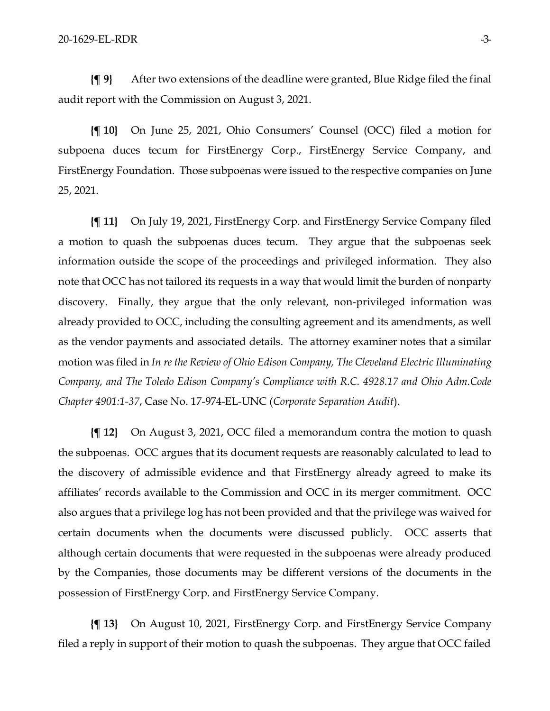**{¶ 9}** After two extensions of the deadline were granted, Blue Ridge filed the final audit report with the Commission on August 3, 2021.

**{¶ 10}** On June 25, 2021, Ohio Consumers' Counsel (OCC) filed a motion for subpoena duces tecum for FirstEnergy Corp., FirstEnergy Service Company, and FirstEnergy Foundation. Those subpoenas were issued to the respective companies on June 25, 2021.

**{¶ 11}** On July 19, 2021, FirstEnergy Corp. and FirstEnergy Service Company filed a motion to quash the subpoenas duces tecum. They argue that the subpoenas seek information outside the scope of the proceedings and privileged information. They also note that OCC has not tailored its requests in a way that would limit the burden of nonparty discovery. Finally, they argue that the only relevant, non-privileged information was already provided to OCC, including the consulting agreement and its amendments, as well as the vendor payments and associated details. The attorney examiner notes that a similar motion was filed in *In re the Review of Ohio Edison Company, The Cleveland Electric Illuminating Company, and The Toledo Edison Company's Compliance with R.C. 4928.17 and Ohio Adm.Code Chapter 4901:1-37*, Case No. 17-974-EL-UNC (*Corporate Separation Audit*).

**{¶ 12}** On August 3, 2021, OCC filed a memorandum contra the motion to quash the subpoenas. OCC argues that its document requests are reasonably calculated to lead to the discovery of admissible evidence and that FirstEnergy already agreed to make its affiliates' records available to the Commission and OCC in its merger commitment. OCC also argues that a privilege log has not been provided and that the privilege was waived for certain documents when the documents were discussed publicly. OCC asserts that although certain documents that were requested in the subpoenas were already produced by the Companies, those documents may be different versions of the documents in the possession of FirstEnergy Corp. and FirstEnergy Service Company.

**{¶ 13}** On August 10, 2021, FirstEnergy Corp. and FirstEnergy Service Company filed a reply in support of their motion to quash the subpoenas. They argue that OCC failed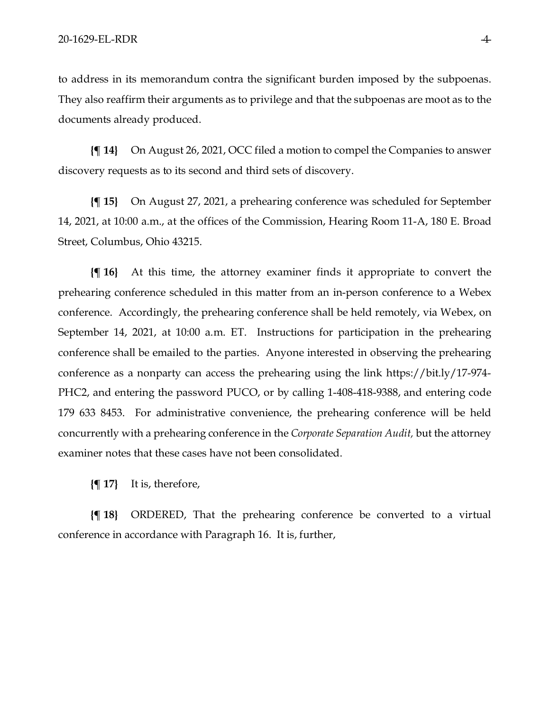to address in its memorandum contra the significant burden imposed by the subpoenas. They also reaffirm their arguments as to privilege and that the subpoenas are moot as to the documents already produced.

**{¶ 14}** On August 26, 2021, OCC filed a motion to compel the Companies to answer discovery requests as to its second and third sets of discovery.

**{¶ 15}** On August 27, 2021, a prehearing conference was scheduled for September 14, 2021, at 10:00 a.m., at the offices of the Commission, Hearing Room 11-A, 180 E. Broad Street, Columbus, Ohio 43215.

**{¶ 16}** At this time, the attorney examiner finds it appropriate to convert the prehearing conference scheduled in this matter from an in-person conference to a Webex conference. Accordingly, the prehearing conference shall be held remotely, via Webex, on September 14, 2021, at 10:00 a.m. ET. Instructions for participation in the prehearing conference shall be emailed to the parties. Anyone interested in observing the prehearing conference as a nonparty can access the prehearing using the link [https://bit.ly/17-974-](https://gcc02.safelinks.protection.outlook.com/?url=https%3A%2F%2Fbit.ly%2F17-974-PHC2&data=04%7C01%7CJacqueline.St.John%40puco.ohio.gov%7Cdb5fc9fd7d95428830da08d96e0a8c94%7C50f8fcc494d84f0784eb36ed57c7c8a2%7C0%7C0%7C637661813843971260%7CUnknown%7CTWFpbGZsb3d8eyJWIjoiMC4wLjAwMDAiLCJQIjoiV2luMzIiLCJBTiI6Ik1haWwiLCJXVCI6Mn0%3D%7C1000&sdata=%2BmXNqBCaLPbxyV6%2F6hFIGv9jHRavfRuStVUxSdPa2zY%3D&reserved=0) [PHC2,](https://gcc02.safelinks.protection.outlook.com/?url=https%3A%2F%2Fbit.ly%2F17-974-PHC2&data=04%7C01%7CJacqueline.St.John%40puco.ohio.gov%7Cdb5fc9fd7d95428830da08d96e0a8c94%7C50f8fcc494d84f0784eb36ed57c7c8a2%7C0%7C0%7C637661813843971260%7CUnknown%7CTWFpbGZsb3d8eyJWIjoiMC4wLjAwMDAiLCJQIjoiV2luMzIiLCJBTiI6Ik1haWwiLCJXVCI6Mn0%3D%7C1000&sdata=%2BmXNqBCaLPbxyV6%2F6hFIGv9jHRavfRuStVUxSdPa2zY%3D&reserved=0) and entering the password PUCO, or by calling 1-408-418-9388, and entering code 179 633 8453. For administrative convenience, the prehearing conference will be held concurrently with a prehearing conference in the *Corporate Separation Audit,* but the attorney examiner notes that these cases have not been consolidated.

**{¶ 17}** It is, therefore,

**{¶ 18}** ORDERED, That the prehearing conference be converted to a virtual conference in accordance with Paragraph 16. It is, further,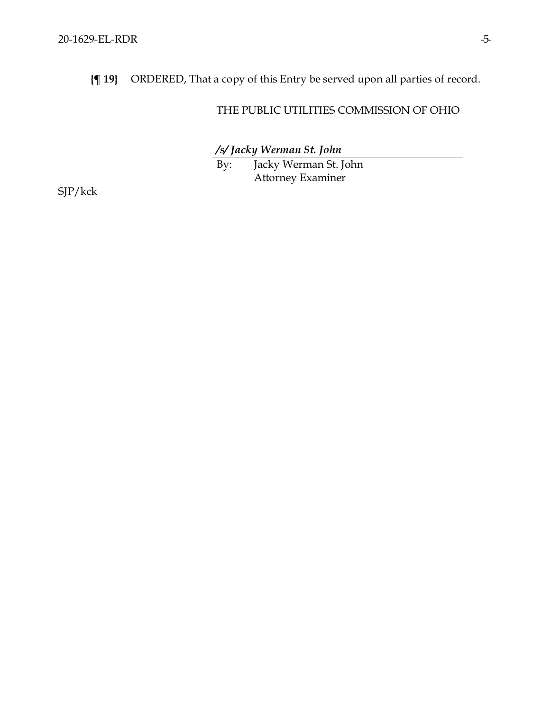**{¶ 19}** ORDERED, That a copy of this Entry be served upon all parties of record.

## THE PUBLIC UTILITIES COMMISSION OF OHIO

*/s/ Jacky Werman St. John*

By: Jacky Werman St. John Attorney Examiner

SJP/kck